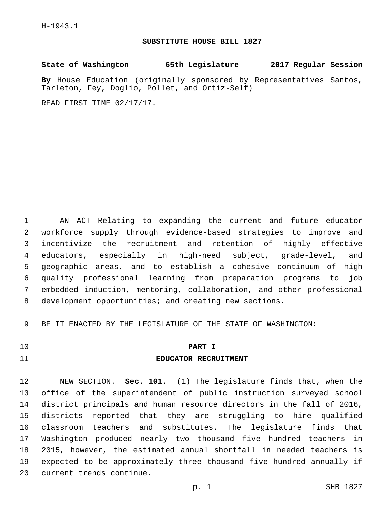### **SUBSTITUTE HOUSE BILL 1827**

**State of Washington 65th Legislature 2017 Regular Session**

**By** House Education (originally sponsored by Representatives Santos, Tarleton, Fey, Doglio, Pollet, and Ortiz-Self)

READ FIRST TIME 02/17/17.

 AN ACT Relating to expanding the current and future educator workforce supply through evidence-based strategies to improve and incentivize the recruitment and retention of highly effective educators, especially in high-need subject, grade-level, and geographic areas, and to establish a cohesive continuum of high quality professional learning from preparation programs to job embedded induction, mentoring, collaboration, and other professional development opportunities; and creating new sections.

BE IT ENACTED BY THE LEGISLATURE OF THE STATE OF WASHINGTON:

### **PART I**

#### **EDUCATOR RECRUITMENT**

 NEW SECTION. **Sec. 101.** (1) The legislature finds that, when the office of the superintendent of public instruction surveyed school district principals and human resource directors in the fall of 2016, districts reported that they are struggling to hire qualified classroom teachers and substitutes. The legislature finds that Washington produced nearly two thousand five hundred teachers in 2015, however, the estimated annual shortfall in needed teachers is expected to be approximately three thousand five hundred annually if current trends continue.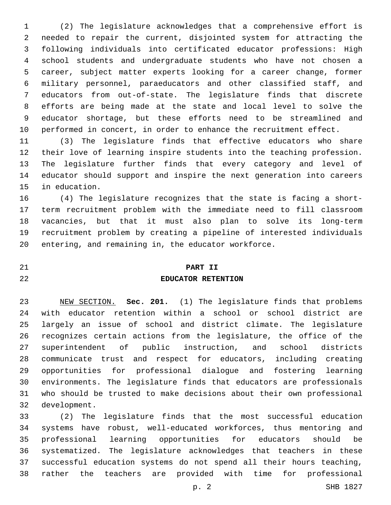(2) The legislature acknowledges that a comprehensive effort is needed to repair the current, disjointed system for attracting the following individuals into certificated educator professions: High school students and undergraduate students who have not chosen a career, subject matter experts looking for a career change, former military personnel, paraeducators and other classified staff, and educators from out-of-state. The legislature finds that discrete efforts are being made at the state and local level to solve the educator shortage, but these efforts need to be streamlined and performed in concert, in order to enhance the recruitment effect.

 (3) The legislature finds that effective educators who share their love of learning inspire students into the teaching profession. The legislature further finds that every category and level of educator should support and inspire the next generation into careers 15 in education.

 (4) The legislature recognizes that the state is facing a short- term recruitment problem with the immediate need to fill classroom vacancies, but that it must also plan to solve its long-term recruitment problem by creating a pipeline of interested individuals entering, and remaining in, the educator workforce.

# **PART II**

## **EDUCATOR RETENTION**

 NEW SECTION. **Sec. 201.** (1) The legislature finds that problems with educator retention within a school or school district are largely an issue of school and district climate. The legislature recognizes certain actions from the legislature, the office of the superintendent of public instruction, and school districts communicate trust and respect for educators, including creating opportunities for professional dialogue and fostering learning environments. The legislature finds that educators are professionals who should be trusted to make decisions about their own professional development.

 (2) The legislature finds that the most successful education systems have robust, well-educated workforces, thus mentoring and professional learning opportunities for educators should be systematized. The legislature acknowledges that teachers in these successful education systems do not spend all their hours teaching, rather the teachers are provided with time for professional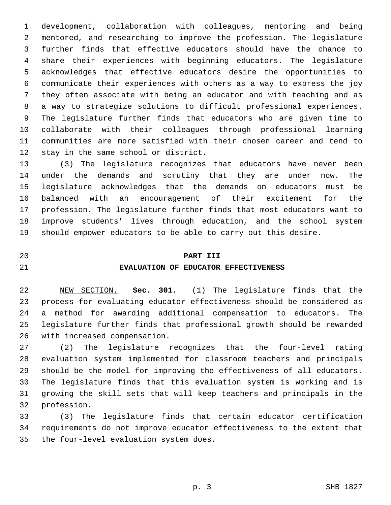development, collaboration with colleagues, mentoring and being mentored, and researching to improve the profession. The legislature further finds that effective educators should have the chance to share their experiences with beginning educators. The legislature acknowledges that effective educators desire the opportunities to communicate their experiences with others as a way to express the joy they often associate with being an educator and with teaching and as a way to strategize solutions to difficult professional experiences. The legislature further finds that educators who are given time to collaborate with their colleagues through professional learning communities are more satisfied with their chosen career and tend to 12 stay in the same school or district.

 (3) The legislature recognizes that educators have never been under the demands and scrutiny that they are under now. The legislature acknowledges that the demands on educators must be balanced with an encouragement of their excitement for the profession. The legislature further finds that most educators want to improve students' lives through education, and the school system should empower educators to be able to carry out this desire.

## **PART III**

### **EVALUATION OF EDUCATOR EFFECTIVENESS**

 NEW SECTION. **Sec. 301.** (1) The legislature finds that the process for evaluating educator effectiveness should be considered as a method for awarding additional compensation to educators. The legislature further finds that professional growth should be rewarded with increased compensation.

 (2) The legislature recognizes that the four-level rating evaluation system implemented for classroom teachers and principals should be the model for improving the effectiveness of all educators. The legislature finds that this evaluation system is working and is growing the skill sets that will keep teachers and principals in the 32 profession.

 (3) The legislature finds that certain educator certification requirements do not improve educator effectiveness to the extent that 35 the four-level evaluation system does.